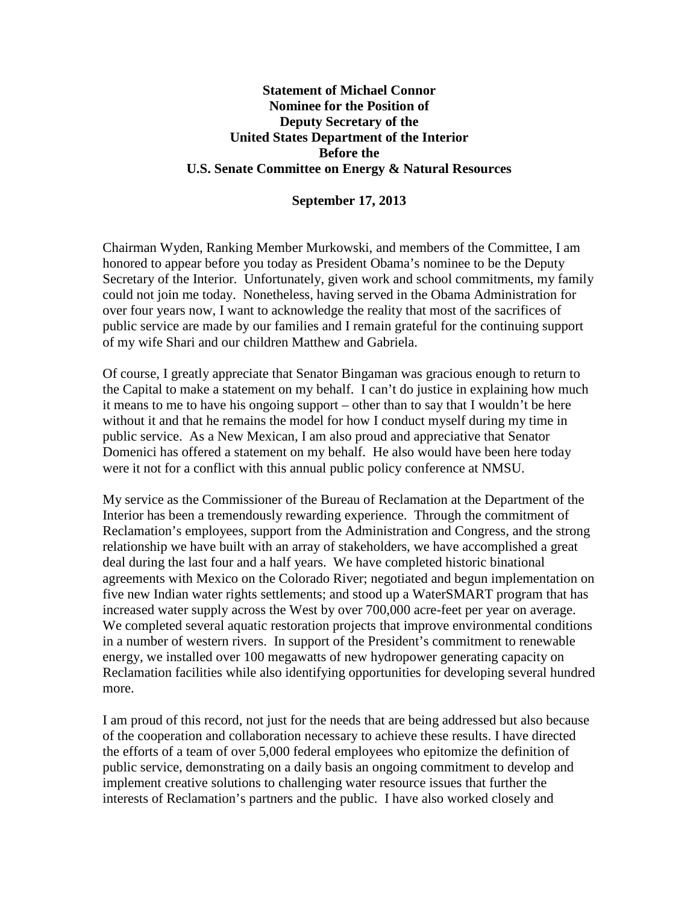## **Statement of Michael Connor Nominee for the Position of Deputy Secretary of the United States Department of the Interior Before the U.S. Senate Committee on Energy & Natural Resources**

## **September 17, 2013**

Chairman Wyden, Ranking Member Murkowski, and members of the Committee, I am honored to appear before you today as President Obama's nominee to be the Deputy Secretary of the Interior. Unfortunately, given work and school commitments, my family could not join me today. Nonetheless, having served in the Obama Administration for over four years now, I want to acknowledge the reality that most of the sacrifices of public service are made by our families and I remain grateful for the continuing support of my wife Shari and our children Matthew and Gabriela.

Of course, I greatly appreciate that Senator Bingaman was gracious enough to return to the Capital to make a statement on my behalf. I can't do justice in explaining how much it means to me to have his ongoing support – other than to say that I wouldn't be here without it and that he remains the model for how I conduct myself during my time in public service. As a New Mexican, I am also proud and appreciative that Senator Domenici has offered a statement on my behalf. He also would have been here today were it not for a conflict with this annual public policy conference at NMSU.

My service as the Commissioner of the Bureau of Reclamation at the Department of the Interior has been a tremendously rewarding experience. Through the commitment of Reclamation's employees, support from the Administration and Congress, and the strong relationship we have built with an array of stakeholders, we have accomplished a great deal during the last four and a half years. We have completed historic binational agreements with Mexico on the Colorado River; negotiated and begun implementation on five new Indian water rights settlements; and stood up a WaterSMART program that has increased water supply across the West by over 700,000 acre-feet per year on average. We completed several aquatic restoration projects that improve environmental conditions in a number of western rivers. In support of the President's commitment to renewable energy, we installed over 100 megawatts of new hydropower generating capacity on Reclamation facilities while also identifying opportunities for developing several hundred more.

I am proud of this record, not just for the needs that are being addressed but also because of the cooperation and collaboration necessary to achieve these results. I have directed the efforts of a team of over 5,000 federal employees who epitomize the definition of public service, demonstrating on a daily basis an ongoing commitment to develop and implement creative solutions to challenging water resource issues that further the interests of Reclamation's partners and the public. I have also worked closely and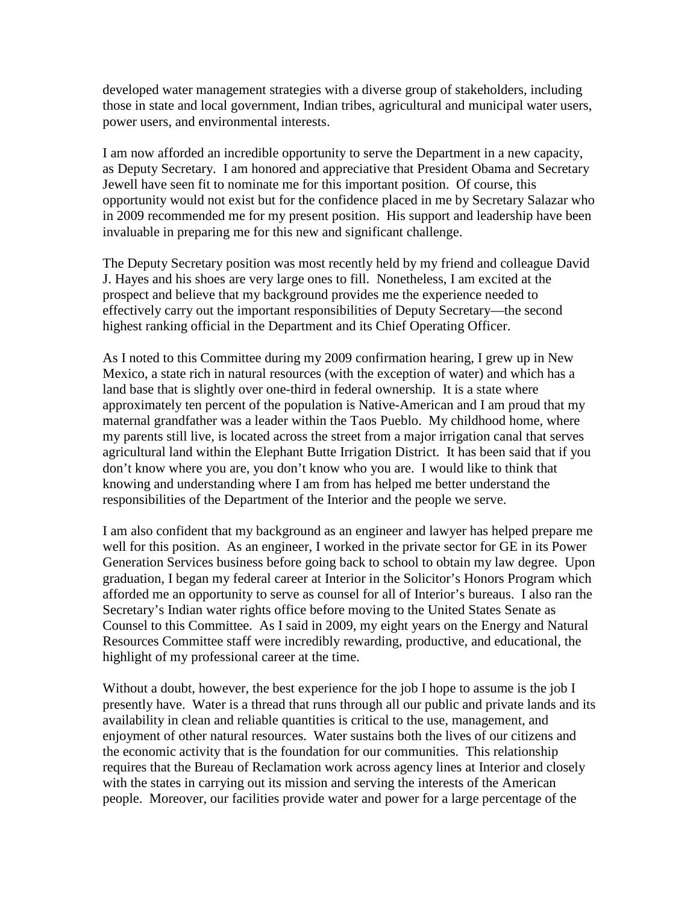developed water management strategies with a diverse group of stakeholders, including those in state and local government, Indian tribes, agricultural and municipal water users, power users, and environmental interests.

I am now afforded an incredible opportunity to serve the Department in a new capacity, as Deputy Secretary. I am honored and appreciative that President Obama and Secretary Jewell have seen fit to nominate me for this important position. Of course, this opportunity would not exist but for the confidence placed in me by Secretary Salazar who in 2009 recommended me for my present position. His support and leadership have been invaluable in preparing me for this new and significant challenge.

The Deputy Secretary position was most recently held by my friend and colleague David J. Hayes and his shoes are very large ones to fill. Nonetheless, I am excited at the prospect and believe that my background provides me the experience needed to effectively carry out the important responsibilities of Deputy Secretary—the second highest ranking official in the Department and its Chief Operating Officer.

As I noted to this Committee during my 2009 confirmation hearing, I grew up in New Mexico, a state rich in natural resources (with the exception of water) and which has a land base that is slightly over one-third in federal ownership. It is a state where approximately ten percent of the population is Native-American and I am proud that my maternal grandfather was a leader within the Taos Pueblo. My childhood home, where my parents still live, is located across the street from a major irrigation canal that serves agricultural land within the Elephant Butte Irrigation District. It has been said that if you don't know where you are, you don't know who you are. I would like to think that knowing and understanding where I am from has helped me better understand the responsibilities of the Department of the Interior and the people we serve.

I am also confident that my background as an engineer and lawyer has helped prepare me well for this position. As an engineer, I worked in the private sector for GE in its Power Generation Services business before going back to school to obtain my law degree. Upon graduation, I began my federal career at Interior in the Solicitor's Honors Program which afforded me an opportunity to serve as counsel for all of Interior's bureaus. I also ran the Secretary's Indian water rights office before moving to the United States Senate as Counsel to this Committee. As I said in 2009, my eight years on the Energy and Natural Resources Committee staff were incredibly rewarding, productive, and educational, the highlight of my professional career at the time.

Without a doubt, however, the best experience for the job I hope to assume is the job I presently have. Water is a thread that runs through all our public and private lands and its availability in clean and reliable quantities is critical to the use, management, and enjoyment of other natural resources. Water sustains both the lives of our citizens and the economic activity that is the foundation for our communities. This relationship requires that the Bureau of Reclamation work across agency lines at Interior and closely with the states in carrying out its mission and serving the interests of the American people. Moreover, our facilities provide water and power for a large percentage of the